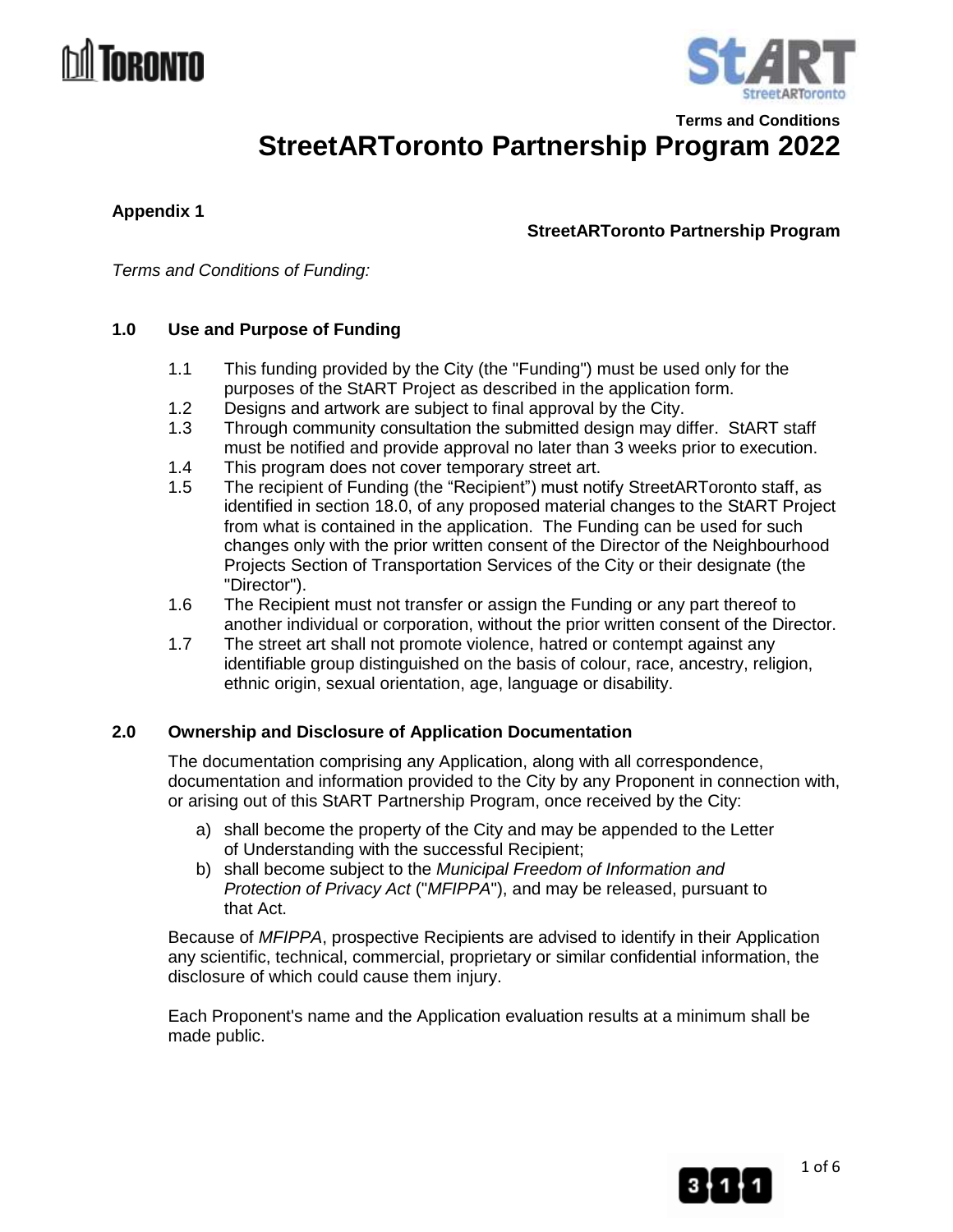# NRANTA



**Terms and Conditions StreetARToronto Partnership Program 2022**

**Appendix 1**

**StreetARToronto Partnership Program**

*Terms and Conditions of Funding:*

# **1.0 Use and Purpose of Funding**

- 1.1 This funding provided by the City (the "Funding") must be used only for the purposes of the StART Project as described in the application form.
- 1.2 Designs and artwork are subject to final approval by the City.
- 1.3 Through community consultation the submitted design may differ. StART staff must be notified and provide approval no later than 3 weeks prior to execution.
- 1.4 This program does not cover temporary street art.
- 1.5 The recipient of Funding (the "Recipient") must notify StreetARToronto staff, as identified in section 18.0, of any proposed material changes to the StART Project from what is contained in the application. The Funding can be used for such changes only with the prior written consent of the Director of the Neighbourhood Projects Section of Transportation Services of the City or their designate (the "Director").
- 1.6 The Recipient must not transfer or assign the Funding or any part thereof to another individual or corporation, without the prior written consent of the Director.
- 1.7 The street art shall not promote violence, hatred or contempt against any identifiable group distinguished on the basis of colour, race, ancestry, religion, ethnic origin, sexual orientation, age, language or disability.

# **2.0 Ownership and Disclosure of Application Documentation**

The documentation comprising any Application, along with all correspondence, documentation and information provided to the City by any Proponent in connection with, or arising out of this StART Partnership Program, once received by the City:

- a) shall become the property of the City and may be appended to the Letter of Understanding with the successful Recipient;
- b) shall become subject to the *Municipal Freedom of Information and Protection of Privacy Act* ("*MFIPPA*"), and may be released, pursuant to that Act.

Because of *MFIPPA*, prospective Recipients are advised to identify in their Application any scientific, technical, commercial, proprietary or similar confidential information, the disclosure of which could cause them injury.

Each Proponent's name and the Application evaluation results at a minimum shall be made public.

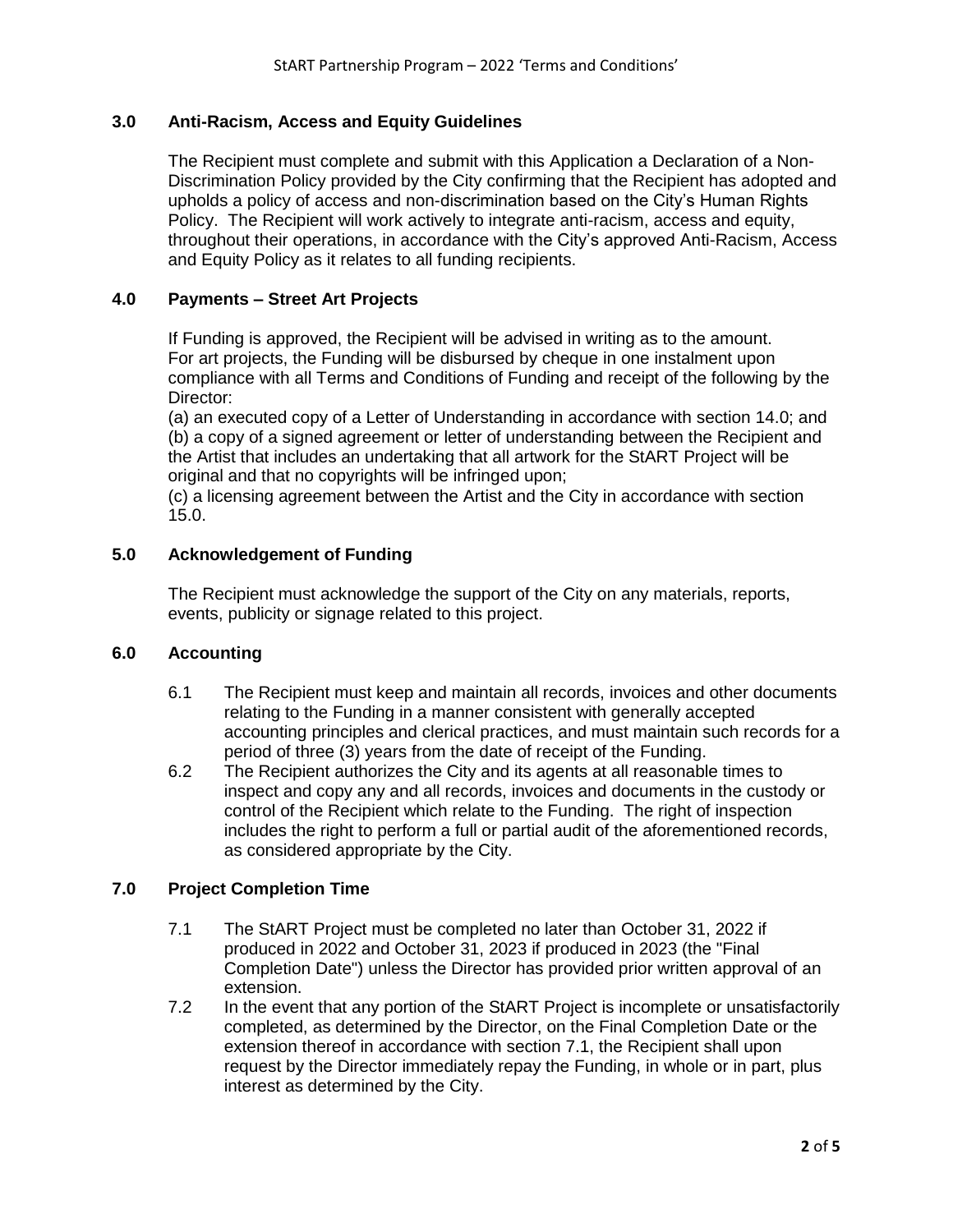# **3.0 Anti-Racism, Access and Equity Guidelines**

The Recipient must complete and submit with this Application a Declaration of a Non-Discrimination Policy provided by the City confirming that the Recipient has adopted and upholds a policy of access and non-discrimination based on the City's Human Rights Policy. The Recipient will work actively to integrate anti-racism, access and equity, throughout their operations, in accordance with the City's approved Anti-Racism, Access and Equity Policy as it relates to all funding recipients.

# **4.0 Payments – Street Art Projects**

If Funding is approved, the Recipient will be advised in writing as to the amount. For art projects, the Funding will be disbursed by cheque in one instalment upon compliance with all Terms and Conditions of Funding and receipt of the following by the Director:

(a) an executed copy of a Letter of Understanding in accordance with section 14.0; and (b) a copy of a signed agreement or letter of understanding between the Recipient and the Artist that includes an undertaking that all artwork for the StART Project will be original and that no copyrights will be infringed upon;

(c) a licensing agreement between the Artist and the City in accordance with section 15.0.

# **5.0 Acknowledgement of Funding**

The Recipient must acknowledge the support of the City on any materials, reports, events, publicity or signage related to this project.

# **6.0 Accounting**

- 6.1 The Recipient must keep and maintain all records, invoices and other documents relating to the Funding in a manner consistent with generally accepted accounting principles and clerical practices, and must maintain such records for a period of three (3) years from the date of receipt of the Funding.
- 6.2 The Recipient authorizes the City and its agents at all reasonable times to inspect and copy any and all records, invoices and documents in the custody or control of the Recipient which relate to the Funding. The right of inspection includes the right to perform a full or partial audit of the aforementioned records, as considered appropriate by the City.

# **7.0 Project Completion Time**

- 7.1 The StART Project must be completed no later than October 31, 2022 if produced in 2022 and October 31, 2023 if produced in 2023 (the "Final Completion Date") unless the Director has provided prior written approval of an extension.
- 7.2 In the event that any portion of the StART Project is incomplete or unsatisfactorily completed, as determined by the Director, on the Final Completion Date or the extension thereof in accordance with section 7.1, the Recipient shall upon request by the Director immediately repay the Funding, in whole or in part, plus interest as determined by the City.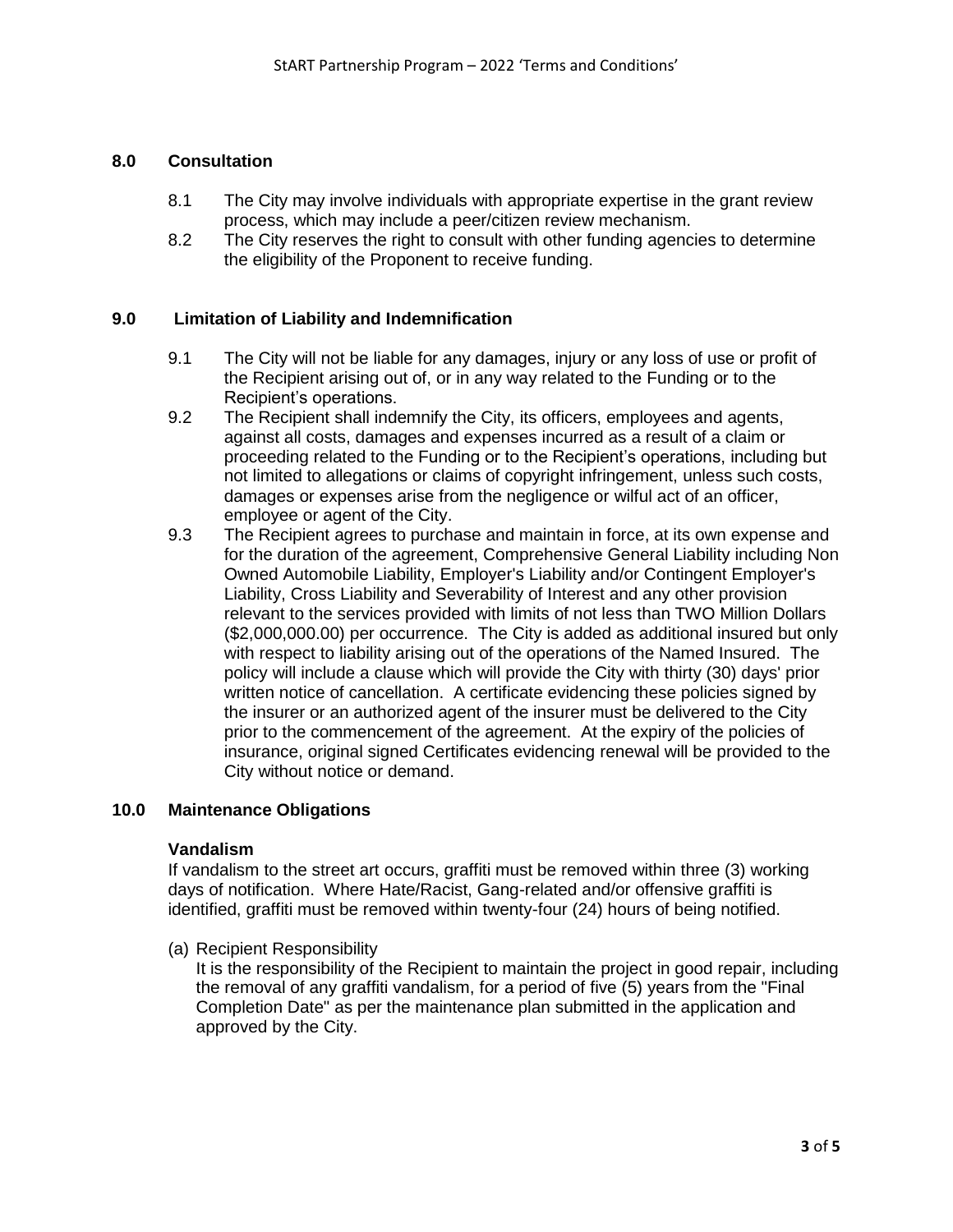#### **8.0 Consultation**

- 8.1 The City may involve individuals with appropriate expertise in the grant review process, which may include a peer/citizen review mechanism.
- 8.2 The City reserves the right to consult with other funding agencies to determine the eligibility of the Proponent to receive funding.

#### **9.0 Limitation of Liability and Indemnification**

- 9.1 The City will not be liable for any damages, injury or any loss of use or profit of the Recipient arising out of, or in any way related to the Funding or to the Recipient's operations.
- 9.2 The Recipient shall indemnify the City, its officers, employees and agents, against all costs, damages and expenses incurred as a result of a claim or proceeding related to the Funding or to the Recipient's operations, including but not limited to allegations or claims of copyright infringement, unless such costs, damages or expenses arise from the negligence or wilful act of an officer, employee or agent of the City.
- 9.3 The Recipient agrees to purchase and maintain in force, at its own expense and for the duration of the agreement, Comprehensive General Liability including Non Owned Automobile Liability, Employer's Liability and/or Contingent Employer's Liability, Cross Liability and Severability of Interest and any other provision relevant to the services provided with limits of not less than TWO Million Dollars (\$2,000,000.00) per occurrence. The City is added as additional insured but only with respect to liability arising out of the operations of the Named Insured. The policy will include a clause which will provide the City with thirty (30) days' prior written notice of cancellation. A certificate evidencing these policies signed by the insurer or an authorized agent of the insurer must be delivered to the City prior to the commencement of the agreement. At the expiry of the policies of insurance, original signed Certificates evidencing renewal will be provided to the City without notice or demand.

#### **10.0 Maintenance Obligations**

#### **Vandalism**

If vandalism to the street art occurs, graffiti must be removed within three (3) working days of notification. Where Hate/Racist, Gang-related and/or offensive graffiti is identified, graffiti must be removed within twenty-four (24) hours of being notified.

(a) Recipient Responsibility

It is the responsibility of the Recipient to maintain the project in good repair, including the removal of any graffiti vandalism, for a period of five (5) years from the "Final Completion Date" as per the maintenance plan submitted in the application and approved by the City.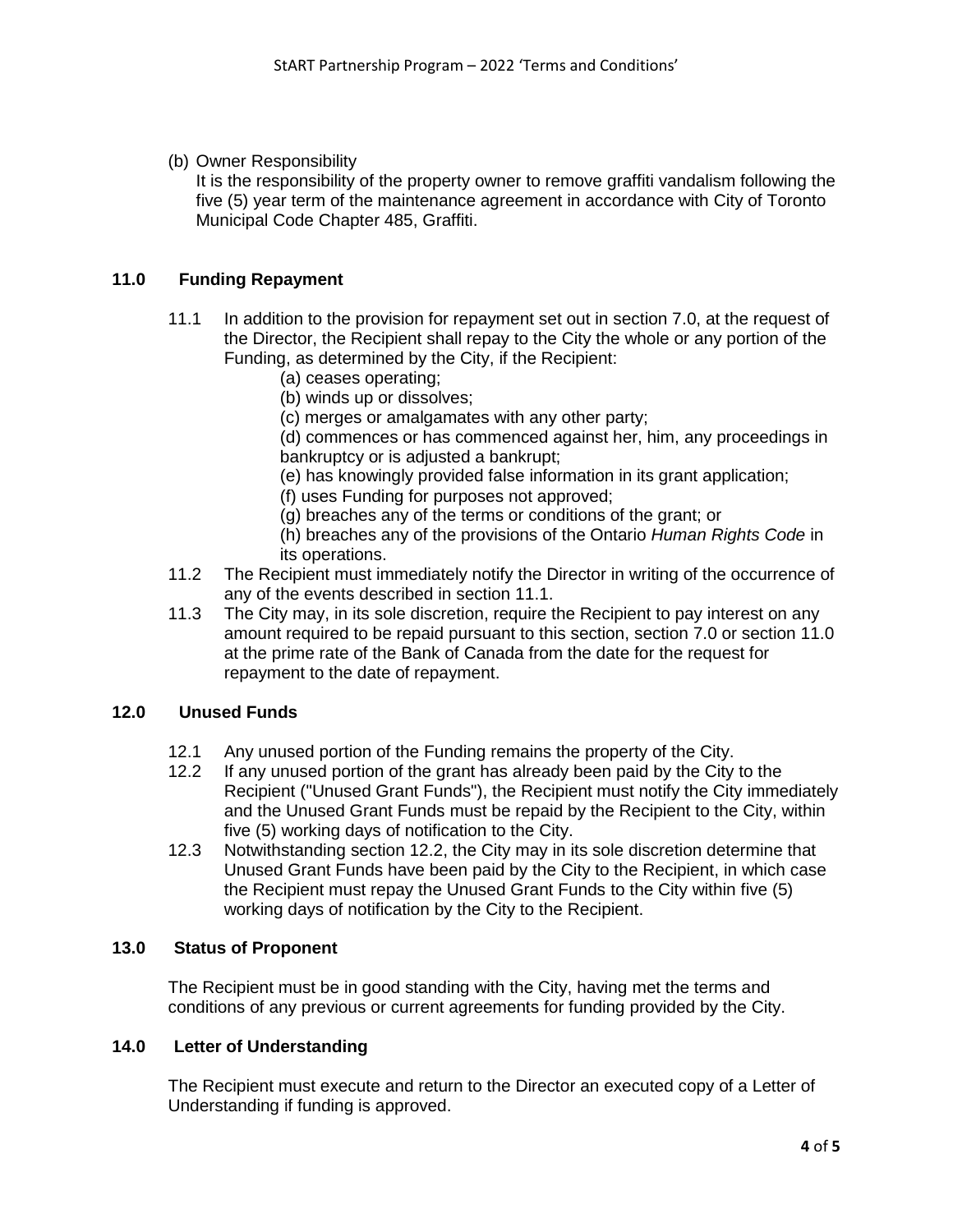(b) Owner Responsibility

It is the responsibility of the property owner to remove graffiti vandalism following the five (5) year term of the maintenance agreement in accordance with City of Toronto Municipal Code Chapter 485, Graffiti.

# **11.0 Funding Repayment**

- 11.1 In addition to the provision for repayment set out in section 7.0, at the request of the Director, the Recipient shall repay to the City the whole or any portion of the Funding, as determined by the City, if the Recipient:
	- (a) ceases operating;
	- (b) winds up or dissolves;
	- (c) merges or amalgamates with any other party;

(d) commences or has commenced against her, him, any proceedings in bankruptcy or is adjusted a bankrupt;

- (e) has knowingly provided false information in its grant application;
- (f) uses Funding for purposes not approved;
- (g) breaches any of the terms or conditions of the grant; or
- (h) breaches any of the provisions of the Ontario *Human Rights Code* in its operations.
- 11.2 The Recipient must immediately notify the Director in writing of the occurrence of any of the events described in section 11.1.
- 11.3 The City may, in its sole discretion, require the Recipient to pay interest on any amount required to be repaid pursuant to this section, section 7.0 or section 11.0 at the prime rate of the Bank of Canada from the date for the request for repayment to the date of repayment.

# **12.0 Unused Funds**

- 12.1 Any unused portion of the Funding remains the property of the City.<br>12.2 If any unused portion of the grant has already been paid by the City
- If any unused portion of the grant has already been paid by the City to the Recipient ("Unused Grant Funds"), the Recipient must notify the City immediately and the Unused Grant Funds must be repaid by the Recipient to the City, within five (5) working days of notification to the City.
- 12.3 Notwithstanding section 12.2, the City may in its sole discretion determine that Unused Grant Funds have been paid by the City to the Recipient, in which case the Recipient must repay the Unused Grant Funds to the City within five (5) working days of notification by the City to the Recipient.

# **13.0 Status of Proponent**

The Recipient must be in good standing with the City, having met the terms and conditions of any previous or current agreements for funding provided by the City.

# **14.0 Letter of Understanding**

The Recipient must execute and return to the Director an executed copy of a Letter of Understanding if funding is approved.